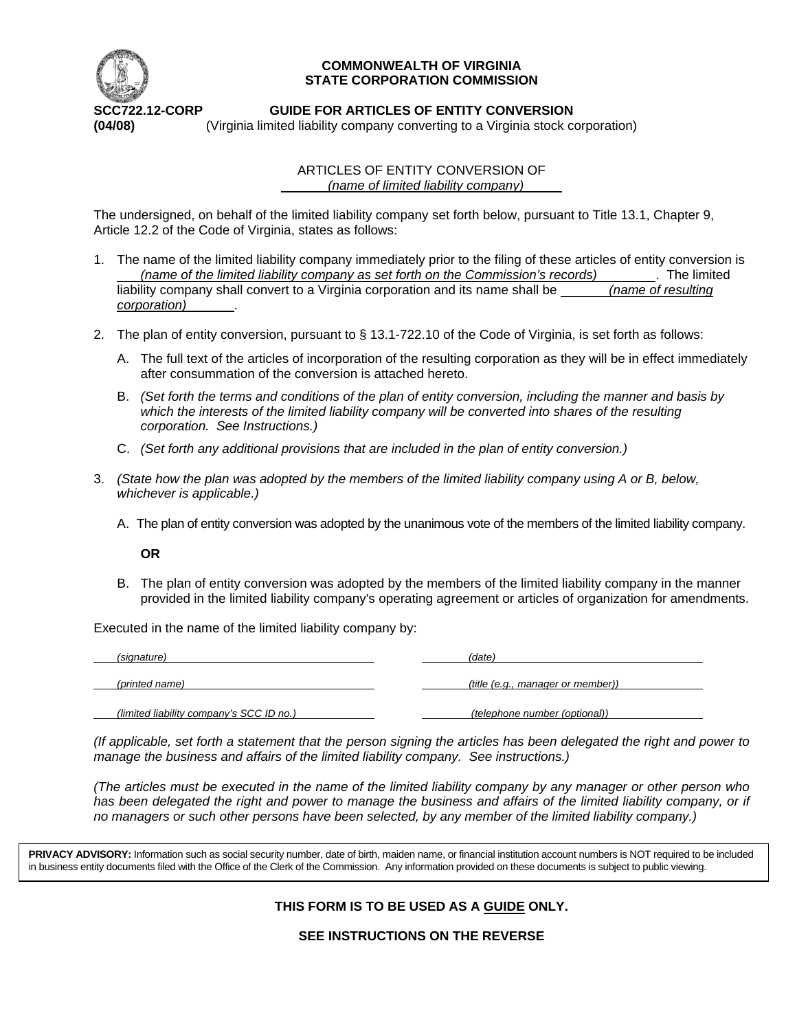

## **COMMONWEALTH OF VIRGINIA STATE CORPORATION COMMISSION**

# **SCC722.12-CORP GUIDE FOR ARTICLES OF ENTITY CONVERSION**

**(04/08)** (Virginia limited liability company converting to a Virginia stock corporation)

ARTICLES OF ENTITY CONVERSION OF  *(name of limited liability company)* 

The undersigned, on behalf of the limited liability company set forth below, pursuant to Title 13.1, Chapter 9, Article 12.2 of the Code of Virginia, states as follows:

- 1. The name of the limited liability company immediately prior to the filing of these articles of entity conversion is  *(name of the limited liability company as set forth on the Commission's records)* . The limited liability company shall convert to a Virginia corporation and its name shall be *(name of resulting*) *corporation)* .
- 2. The plan of entity conversion, pursuant to § 13.1-722.10 of the Code of Virginia, is set forth as follows:
	- A. The full text of the articles of incorporation of the resulting corporation as they will be in effect immediately after consummation of the conversion is attached hereto.
	- B. *(Set forth the terms and conditions of the plan of entity conversion, including the manner and basis by which the interests of the limited liability company will be converted into shares of the resulting corporation. See Instructions.)*
	- C. *(Set forth any additional provisions that are included in the plan of entity conversion.)*
- 3. *(State how the plan was adopted by the members of the limited liability company using A or B, below, whichever is applicable.)*
	- A. The plan of entity conversion was adopted by the unanimous vote of the members of the limited liability company.

## **OR**

B. The plan of entity conversion was adopted by the members of the limited liability company in the manner provided in the limited liability company's operating agreement or articles of organization for amendments.

Executed in the name of the limited liability company by:

| (signature)                              | (date)                            |
|------------------------------------------|-----------------------------------|
| (printed name)                           | (title (e.g., manager or member)) |
| (limited liability company's SCC ID no.) | (telephone number (optional))     |

*(If applicable, set forth a statement that the person signing the articles has been delegated the right and power to manage the business and affairs of the limited liability company. See instructions.)*

*(The articles must be executed in the name of the limited liability company by any manager or other person who has been delegated the right and power to manage the business and affairs of the limited liability company, or if no managers or such other persons have been selected, by any member of the limited liability company.)*

PRIVACY ADVISORY: Information such as social security number, date of birth, maiden name, or financial institution account numbers is NOT required to be included in business entity documents filed with the Office of the Clerk of the Commission. Any information provided on these documents is subject to public viewing.

# **THIS FORM IS TO BE USED AS A GUIDE ONLY.**

**SEE INSTRUCTIONS ON THE REVERSE**